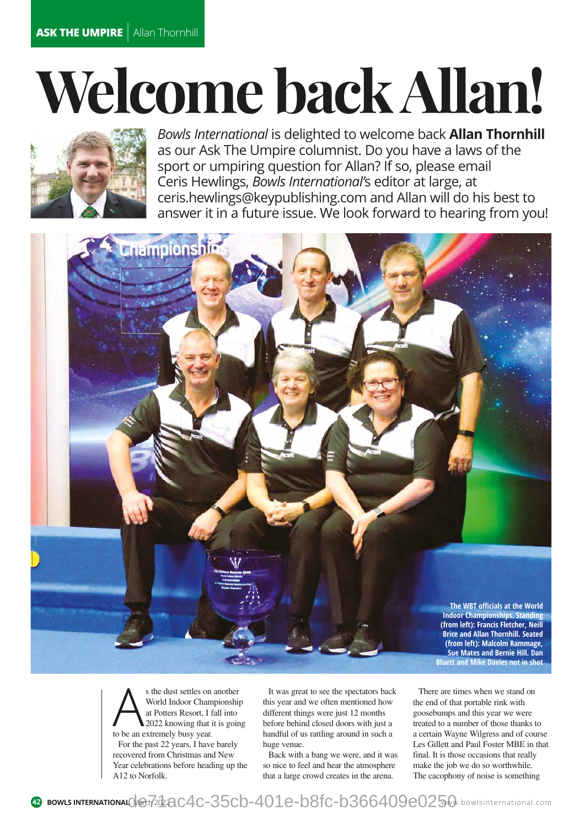## **Welcome back Allan!**



*Bowls International* is delighted to welcome back **Allan Thornhill**  as our Ask The Umpire columnist. Do you have a laws of the sport or umpiring question for Allan? If so, please email Ceris Hewlings, *Bowls International'*s editor at large, at [ceris.hewlings@keypublishing.com an](mailto:ceris.hewlings@keypublishing.com)d Allan will do his best to answer it in a future issue. We look forward to hearing from you!



s the dust settles on<br>World Indoor Cham<br>at Potters Resort, I f:<br>to be an extremely busy year. s the dust settles on another World Indoor Championship at Potters Resort, I fall into 2022 knowing that it is going For the past 22 years, I have barely recovered from Christmas and New Year celebrations before heading up the A12 to Norfolk.

It was great to see the spectators back this year and we often mentioned how different things were just 12 months before behind closed doors with just a handful of us rattling around in such a huge venue.

Back with a bang we were, and it was so nice to feel and hear the atmosphere that a large crowd creates in the arena.

There are times when we stand on the end of that portable rink with goosebumps and this year we were treated to a number of those thanks to a certain Wayne Wilgress and of course Les Gillett and Paul Foster MBE in that final. It is those occasions that really make the job we do so worthwhile. The cacophony of noise is something